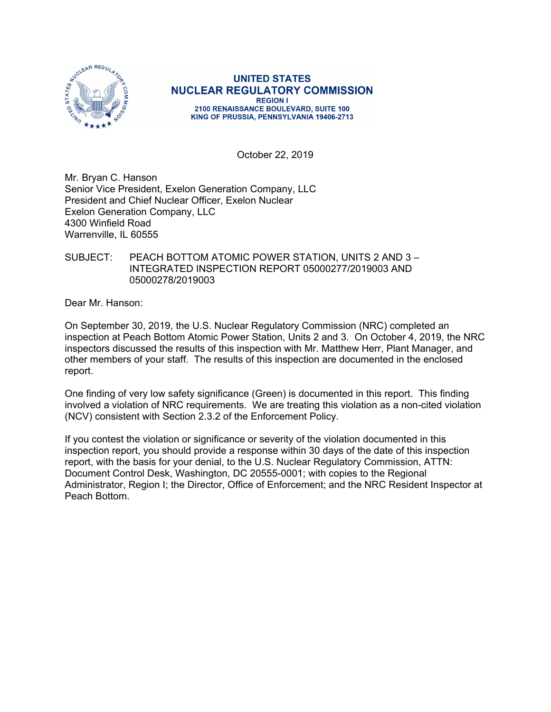

**UNITED STATES NUCLEAR REGULATORY COMMISSION REGION I** 2100 RENAISSANCE BOULEVARD, SUITE 100 KING OF PRUSSIA, PENNSYLVANIA 19406-2713

October 22, 2019

Mr. Bryan C. Hanson Senior Vice President, Exelon Generation Company, LLC President and Chief Nuclear Officer, Exelon Nuclear Exelon Generation Company, LLC 4300 Winfield Road Warrenville, IL 60555

### SUBJECT: PEACH BOTTOM ATOMIC POWER STATION, UNITS 2 AND 3 – INTEGRATED INSPECTION REPORT 05000277/2019003 AND 05000278/2019003

Dear Mr. Hanson:

On September 30, 2019, the U.S. Nuclear Regulatory Commission (NRC) completed an inspection at Peach Bottom Atomic Power Station, Units 2 and 3. On October 4, 2019, the NRC inspectors discussed the results of this inspection with Mr. Matthew Herr, Plant Manager, and other members of your staff. The results of this inspection are documented in the enclosed report.

One finding of very low safety significance (Green) is documented in this report. This finding involved a violation of NRC requirements. We are treating this violation as a non-cited violation (NCV) consistent with Section 2.3.2 of the Enforcement Policy.

If you contest the violation or significance or severity of the violation documented in this inspection report, you should provide a response within 30 days of the date of this inspection report, with the basis for your denial, to the U.S. Nuclear Regulatory Commission, ATTN: Document Control Desk, Washington, DC 20555-0001; with copies to the Regional Administrator, Region I; the Director, Office of Enforcement; and the NRC Resident Inspector at Peach Bottom.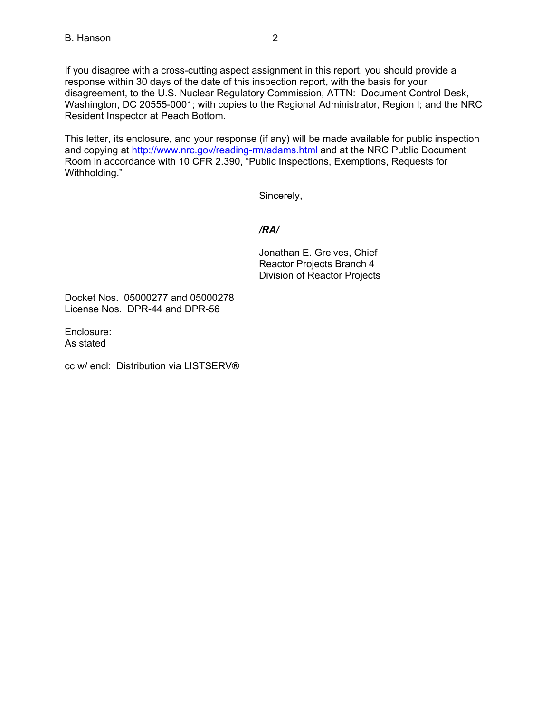If you disagree with a cross-cutting aspect assignment in this report, you should provide a response within 30 days of the date of this inspection report, with the basis for your disagreement, to the U.S. Nuclear Regulatory Commission, ATTN: Document Control Desk, Washington, DC 20555-0001; with copies to the Regional Administrator, Region I; and the NRC Resident Inspector at Peach Bottom.

This letter, its enclosure, and your response (if any) will be made available for public inspection and copying at http://www.nrc.gov/reading-rm/adams.html and at the NRC Public Document Room in accordance with 10 CFR 2.390, "Public Inspections, Exemptions, Requests for Withholding."

Sincerely,

# */RA/*

Jonathan E. Greives, Chief Reactor Projects Branch 4 Division of Reactor Projects

Docket Nos. 05000277 and 05000278 License Nos. DPR-44 and DPR-56

Enclosure: As stated

cc w/ encl: Distribution via LISTSERV®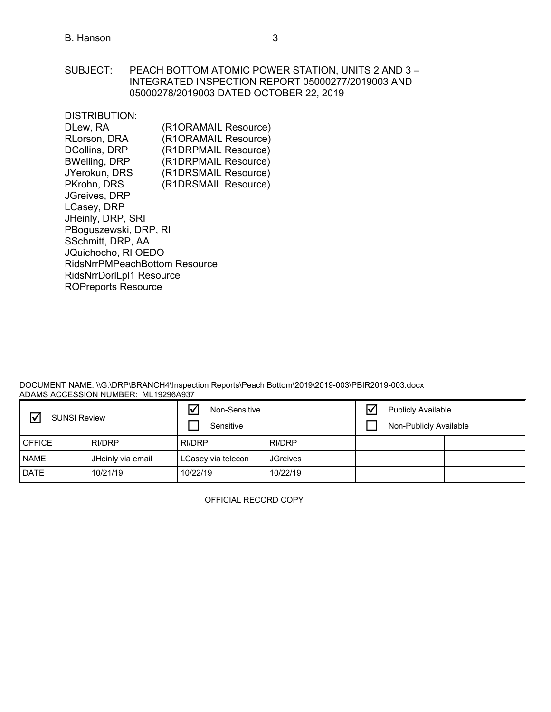SUBJECT: PEACH BOTTOM ATOMIC POWER STATION, UNITS 2 AND 3 – INTEGRATED INSPECTION REPORT 05000277/2019003 AND 05000278/2019003 DATED OCTOBER 22, 2019

DISTRIBUTION:

| DLew, RA                             | (R1ORAMAIL Resource) |
|--------------------------------------|----------------------|
| RLorson, DRA                         | (R1ORAMAIL Resource) |
| <b>DCollins, DRP</b>                 | (R1DRPMAIL Resource) |
| <b>BWelling, DRP</b>                 | (R1DRPMAIL Resource) |
| JYerokun, DRS                        | (R1DRSMAIL Resource) |
| PKrohn, DRS                          | (R1DRSMAIL Resource) |
| <b>JGreives, DRP</b>                 |                      |
| LCasey, DRP                          |                      |
| JHeinly, DRP, SRI                    |                      |
| PBoguszewski, DRP, RI                |                      |
| SSchmitt, DRP, AA                    |                      |
| JQuichocho, RI OEDO                  |                      |
| <b>RidsNrrPMPeachBottom Resource</b> |                      |
| RidsNrrDorlLpl1 Resource             |                      |
| <b>ROPreports Resource</b>           |                      |
|                                      |                      |

DOCUMENT NAME: \\G:\DRP\BRANCH4\Inspection Reports\Peach Bottom\2019\2019-003\PBIR2019-003.docx ADAMS ACCESSION NUMBER: ML19296A937

| <b>SUNSI Review</b> |                   | Non-Sensitive<br>Sensitive |                 | $\overline{\mathsf{V}}$ | <b>Publicly Available</b><br>Non-Publicly Available |  |
|---------------------|-------------------|----------------------------|-----------------|-------------------------|-----------------------------------------------------|--|
| <b>OFFICE</b>       | <b>RI/DRP</b>     | RI/DRP                     | RI/DRP          |                         |                                                     |  |
| <b>NAME</b>         | JHeinly via email | LCasey via telecon         | <b>JGreives</b> |                         |                                                     |  |
| <b>DATE</b>         | 10/21/19          | 10/22/19                   | 10/22/19        |                         |                                                     |  |

OFFICIAL RECORD COPY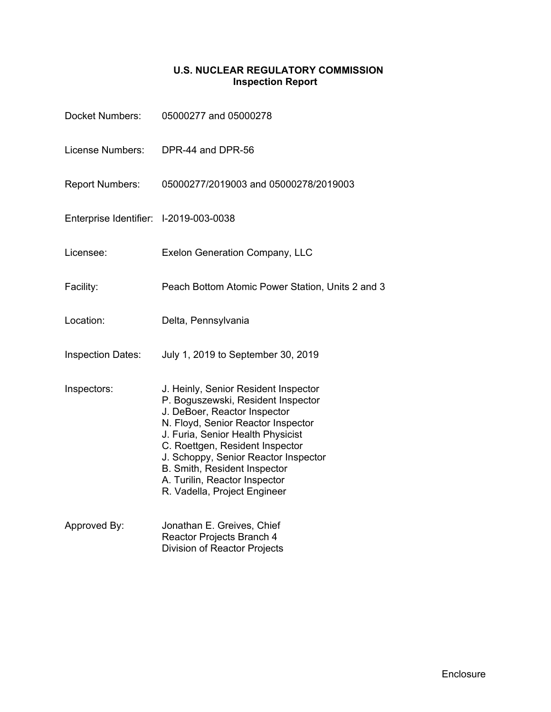# **U.S. NUCLEAR REGULATORY COMMISSION Inspection Report**

| <b>Docket Numbers:</b>                 | 05000277 and 05000278                                                                                                                                                                                                                                                                                                                                             |
|----------------------------------------|-------------------------------------------------------------------------------------------------------------------------------------------------------------------------------------------------------------------------------------------------------------------------------------------------------------------------------------------------------------------|
| License Numbers:                       | DPR-44 and DPR-56                                                                                                                                                                                                                                                                                                                                                 |
| <b>Report Numbers:</b>                 | 05000277/2019003 and 05000278/2019003                                                                                                                                                                                                                                                                                                                             |
| Enterprise Identifier: I-2019-003-0038 |                                                                                                                                                                                                                                                                                                                                                                   |
| Licensee:                              | <b>Exelon Generation Company, LLC</b>                                                                                                                                                                                                                                                                                                                             |
| Facility:                              | Peach Bottom Atomic Power Station, Units 2 and 3                                                                                                                                                                                                                                                                                                                  |
| Location:                              | Delta, Pennsylvania                                                                                                                                                                                                                                                                                                                                               |
| <b>Inspection Dates:</b>               | July 1, 2019 to September 30, 2019                                                                                                                                                                                                                                                                                                                                |
| Inspectors:                            | J. Heinly, Senior Resident Inspector<br>P. Boguszewski, Resident Inspector<br>J. DeBoer, Reactor Inspector<br>N. Floyd, Senior Reactor Inspector<br>J. Furia, Senior Health Physicist<br>C. Roettgen, Resident Inspector<br>J. Schoppy, Senior Reactor Inspector<br>B. Smith, Resident Inspector<br>A. Turilin, Reactor Inspector<br>R. Vadella, Project Engineer |
| Approved By:                           | Jonathan E. Greives, Chief<br>Reactor Projects Branch 4<br><b>Division of Reactor Projects</b>                                                                                                                                                                                                                                                                    |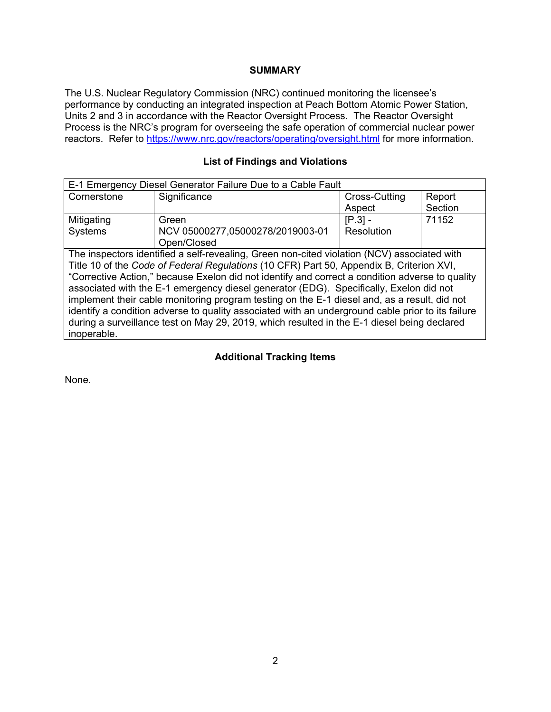### **SUMMARY**

The U.S. Nuclear Regulatory Commission (NRC) continued monitoring the licensee's performance by conducting an integrated inspection at Peach Bottom Atomic Power Station, Units 2 and 3 in accordance with the Reactor Oversight Process. The Reactor Oversight Process is the NRC's program for overseeing the safe operation of commercial nuclear power reactors. Refer to https://www.nrc.gov/reactors/operating/oversight.html for more information.

### **List of Findings and Violations**

| E-1 Emergency Diesel Generator Failure Due to a Cable Fault                                       |                                                                                             |               |         |  |  |  |
|---------------------------------------------------------------------------------------------------|---------------------------------------------------------------------------------------------|---------------|---------|--|--|--|
| Cornerstone                                                                                       | Significance                                                                                | Cross-Cutting | Report  |  |  |  |
|                                                                                                   |                                                                                             | Aspect        | Section |  |  |  |
| Mitigating                                                                                        | Green                                                                                       | $[P.3] -$     | 71152   |  |  |  |
| <b>Systems</b>                                                                                    | NCV 05000277,05000278/2019003-01                                                            | Resolution    |         |  |  |  |
|                                                                                                   | Open/Closed                                                                                 |               |         |  |  |  |
|                                                                                                   | The inspectors identified a self-revealing, Green non-cited violation (NCV) associated with |               |         |  |  |  |
| Title 10 of the Code of Federal Regulations (10 CFR) Part 50, Appendix B, Criterion XVI,          |                                                                                             |               |         |  |  |  |
| "Corrective Action," because Exelon did not identify and correct a condition adverse to quality   |                                                                                             |               |         |  |  |  |
| associated with the E-1 emergency diesel generator (EDG). Specifically, Exelon did not            |                                                                                             |               |         |  |  |  |
| implement their cable monitoring program testing on the E-1 diesel and, as a result, did not      |                                                                                             |               |         |  |  |  |
| identify a condition adverse to quality associated with an underground cable prior to its failure |                                                                                             |               |         |  |  |  |
| during a surveillance test on May 29, 2019, which resulted in the E-1 diesel being declared       |                                                                                             |               |         |  |  |  |
| inoperable.                                                                                       |                                                                                             |               |         |  |  |  |

### **Additional Tracking Items**

None.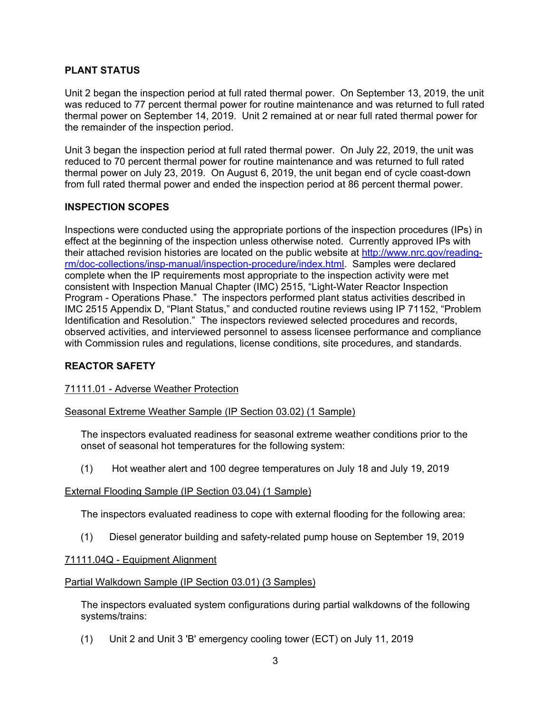# **PLANT STATUS**

Unit 2 began the inspection period at full rated thermal power. On September 13, 2019, the unit was reduced to 77 percent thermal power for routine maintenance and was returned to full rated thermal power on September 14, 2019. Unit 2 remained at or near full rated thermal power for the remainder of the inspection period.

Unit 3 began the inspection period at full rated thermal power. On July 22, 2019, the unit was reduced to 70 percent thermal power for routine maintenance and was returned to full rated thermal power on July 23, 2019. On August 6, 2019, the unit began end of cycle coast-down from full rated thermal power and ended the inspection period at 86 percent thermal power.

# **INSPECTION SCOPES**

Inspections were conducted using the appropriate portions of the inspection procedures (IPs) in effect at the beginning of the inspection unless otherwise noted. Currently approved IPs with their attached revision histories are located on the public website at http://www.nrc.gov/readingrm/doc-collections/insp-manual/inspection-procedure/index.html. Samples were declared complete when the IP requirements most appropriate to the inspection activity were met consistent with Inspection Manual Chapter (IMC) 2515, "Light-Water Reactor Inspection Program - Operations Phase." The inspectors performed plant status activities described in IMC 2515 Appendix D, "Plant Status," and conducted routine reviews using IP 71152, "Problem Identification and Resolution." The inspectors reviewed selected procedures and records, observed activities, and interviewed personnel to assess licensee performance and compliance with Commission rules and regulations, license conditions, site procedures, and standards.

# **REACTOR SAFETY**

# 71111.01 - Adverse Weather Protection

# Seasonal Extreme Weather Sample (IP Section 03.02) (1 Sample)

The inspectors evaluated readiness for seasonal extreme weather conditions prior to the onset of seasonal hot temperatures for the following system:

(1) Hot weather alert and 100 degree temperatures on July 18 and July 19, 2019

#### External Flooding Sample (IP Section 03.04) (1 Sample)

The inspectors evaluated readiness to cope with external flooding for the following area:

(1) Diesel generator building and safety-related pump house on September 19, 2019

#### 71111.04Q - Equipment Alignment

#### Partial Walkdown Sample (IP Section 03.01) (3 Samples)

The inspectors evaluated system configurations during partial walkdowns of the following systems/trains:

(1) Unit 2 and Unit 3 'B' emergency cooling tower (ECT) on July 11, 2019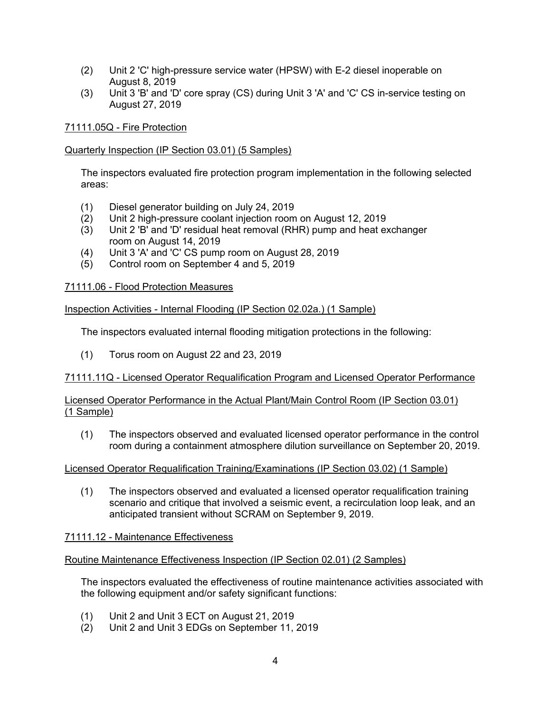- (2) Unit 2 'C' high-pressure service water (HPSW) with E-2 diesel inoperable on August 8, 2019
- (3) Unit 3 'B' and 'D' core spray (CS) during Unit 3 'A' and 'C' CS in-service testing on August 27, 2019

# 71111.05Q - Fire Protection

# Quarterly Inspection (IP Section 03.01) (5 Samples)

The inspectors evaluated fire protection program implementation in the following selected areas:

- (1) Diesel generator building on July 24, 2019
- (2) Unit 2 high-pressure coolant injection room on August 12, 2019
- (3) Unit 2 'B' and 'D' residual heat removal (RHR) pump and heat exchanger room on August 14, 2019
- (4) Unit 3 'A' and 'C' CS pump room on August 28, 2019
- (5) Control room on September 4 and 5, 2019

# 71111.06 - Flood Protection Measures

# Inspection Activities - Internal Flooding (IP Section 02.02a.) (1 Sample)

The inspectors evaluated internal flooding mitigation protections in the following:

(1) Torus room on August 22 and 23, 2019

# 71111.11Q - Licensed Operator Requalification Program and Licensed Operator Performance

### Licensed Operator Performance in the Actual Plant/Main Control Room (IP Section 03.01) (1 Sample)

(1) The inspectors observed and evaluated licensed operator performance in the control room during a containment atmosphere dilution surveillance on September 20, 2019.

# Licensed Operator Requalification Training/Examinations (IP Section 03.02) (1 Sample)

(1) The inspectors observed and evaluated a licensed operator requalification training scenario and critique that involved a seismic event, a recirculation loop leak, and an anticipated transient without SCRAM on September 9, 2019.

# 71111.12 - Maintenance Effectiveness

# Routine Maintenance Effectiveness Inspection (IP Section 02.01) (2 Samples)

The inspectors evaluated the effectiveness of routine maintenance activities associated with the following equipment and/or safety significant functions:

- (1) Unit 2 and Unit 3 ECT on August 21, 2019
- (2) Unit 2 and Unit 3 EDGs on September 11, 2019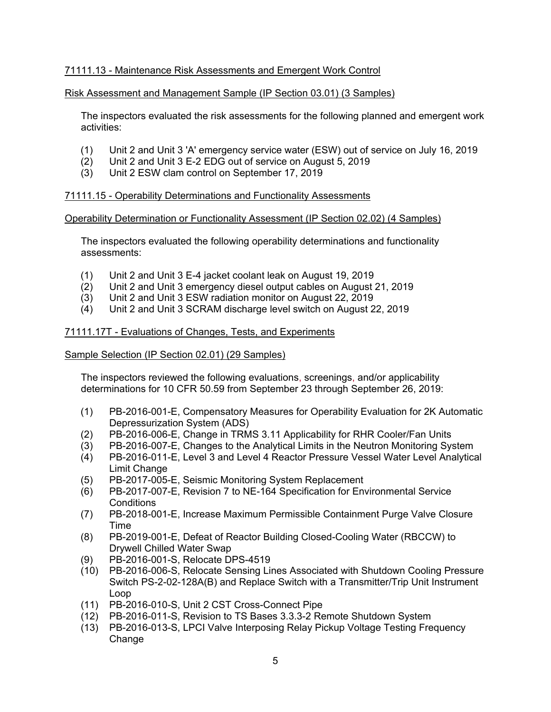# 71111.13 - Maintenance Risk Assessments and Emergent Work Control

### Risk Assessment and Management Sample (IP Section 03.01) (3 Samples)

The inspectors evaluated the risk assessments for the following planned and emergent work activities:

- (1) Unit 2 and Unit 3 'A' emergency service water (ESW) out of service on July 16, 2019
- (2) Unit 2 and Unit 3 E-2 EDG out of service on August 5, 2019
- (3) Unit 2 ESW clam control on September 17, 2019

### 71111.15 - Operability Determinations and Functionality Assessments

#### Operability Determination or Functionality Assessment (IP Section 02.02) (4 Samples)

The inspectors evaluated the following operability determinations and functionality assessments:

- (1) Unit 2 and Unit 3 E-4 jacket coolant leak on August 19, 2019
- (2) Unit 2 and Unit 3 emergency diesel output cables on August 21, 2019
- (3) Unit 2 and Unit 3 ESW radiation monitor on August 22, 2019
- (4) Unit 2 and Unit 3 SCRAM discharge level switch on August 22, 2019

#### 71111.17T - Evaluations of Changes, Tests, and Experiments

### Sample Selection (IP Section 02.01) (29 Samples)

The inspectors reviewed the following evaluations, screenings, and/or applicability determinations for 10 CFR 50.59 from September 23 through September 26, 2019:

- (1) PB-2016-001-E, Compensatory Measures for Operability Evaluation for 2K Automatic Depressurization System (ADS)
- (2) PB-2016-006-E, Change in TRMS 3.11 Applicability for RHR Cooler/Fan Units
- (3) PB-2016-007-E, Changes to the Analytical Limits in the Neutron Monitoring System
- (4) PB-2016-011-E, Level 3 and Level 4 Reactor Pressure Vessel Water Level Analytical Limit Change
- (5) PB-2017-005-E, Seismic Monitoring System Replacement
- (6) PB-2017-007-E, Revision 7 to NE-164 Specification for Environmental Service **Conditions**
- (7) PB-2018-001-E, Increase Maximum Permissible Containment Purge Valve Closure Time
- (8) PB-2019-001-E, Defeat of Reactor Building Closed-Cooling Water (RBCCW) to Drywell Chilled Water Swap
- (9) PB-2016-001-S, Relocate DPS-4519
- (10) PB-2016-006-S, Relocate Sensing Lines Associated with Shutdown Cooling Pressure Switch PS-2-02-128A(B) and Replace Switch with a Transmitter/Trip Unit Instrument Loop
- (11) PB-2016-010-S, Unit 2 CST Cross-Connect Pipe
- (12) PB-2016-011-S, Revision to TS Bases 3.3.3-2 Remote Shutdown System
- (13) PB-2016-013-S, LPCI Valve Interposing Relay Pickup Voltage Testing Frequency Change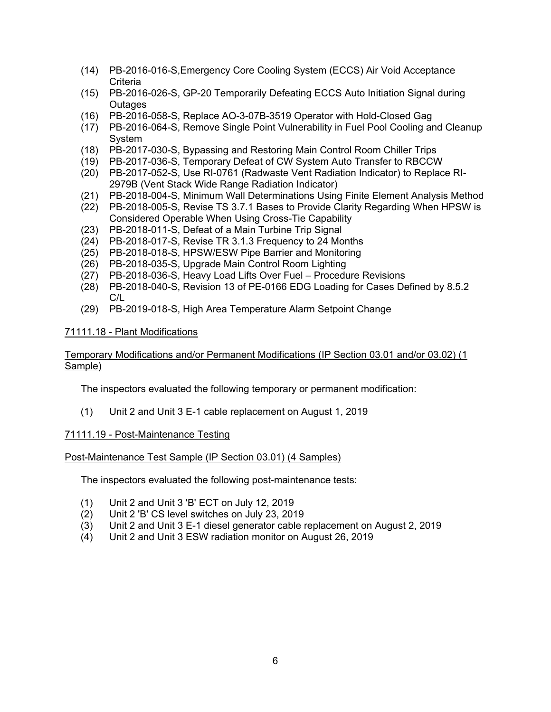- (14) PB-2016-016-S,Emergency Core Cooling System (ECCS) Air Void Acceptance **Criteria**
- (15) PB-2016-026-S, GP-20 Temporarily Defeating ECCS Auto Initiation Signal during **Outages**
- (16) PB-2016-058-S, Replace AO-3-07B-3519 Operator with Hold-Closed Gag
- (17) PB-2016-064-S, Remove Single Point Vulnerability in Fuel Pool Cooling and Cleanup System
- (18) PB-2017-030-S, Bypassing and Restoring Main Control Room Chiller Trips
- (19) PB-2017-036-S, Temporary Defeat of CW System Auto Transfer to RBCCW
- (20) PB-2017-052-S, Use RI-0761 (Radwaste Vent Radiation Indicator) to Replace RI-2979B (Vent Stack Wide Range Radiation Indicator)
- (21) PB-2018-004-S, Minimum Wall Determinations Using Finite Element Analysis Method
- (22) PB-2018-005-S, Revise TS 3.7.1 Bases to Provide Clarity Regarding When HPSW is Considered Operable When Using Cross-Tie Capability
- (23) PB-2018-011-S, Defeat of a Main Turbine Trip Signal
- (24) PB-2018-017-S, Revise TR 3.1.3 Frequency to 24 Months
- (25) PB-2018-018-S, HPSW/ESW Pipe Barrier and Monitoring
- (26) PB-2018-035-S, Upgrade Main Control Room Lighting
- (27) PB-2018-036-S, Heavy Load Lifts Over Fuel Procedure Revisions
- (28) PB-2018-040-S, Revision 13 of PE-0166 EDG Loading for Cases Defined by 8.5.2 C/L
- (29) PB-2019-018-S, High Area Temperature Alarm Setpoint Change

# 71111.18 - Plant Modifications

# Temporary Modifications and/or Permanent Modifications (IP Section 03.01 and/or 03.02) (1 Sample)

The inspectors evaluated the following temporary or permanent modification:

(1) Unit 2 and Unit 3 E-1 cable replacement on August 1, 2019

# 71111.19 - Post-Maintenance Testing

# Post-Maintenance Test Sample (IP Section 03.01) (4 Samples)

The inspectors evaluated the following post-maintenance tests:

- (1) Unit 2 and Unit 3 'B' ECT on July 12, 2019
- (2) Unit 2 'B' CS level switches on July 23, 2019
- (3) Unit 2 and Unit 3 E-1 diesel generator cable replacement on August 2, 2019
- (4) Unit 2 and Unit 3 ESW radiation monitor on August 26, 2019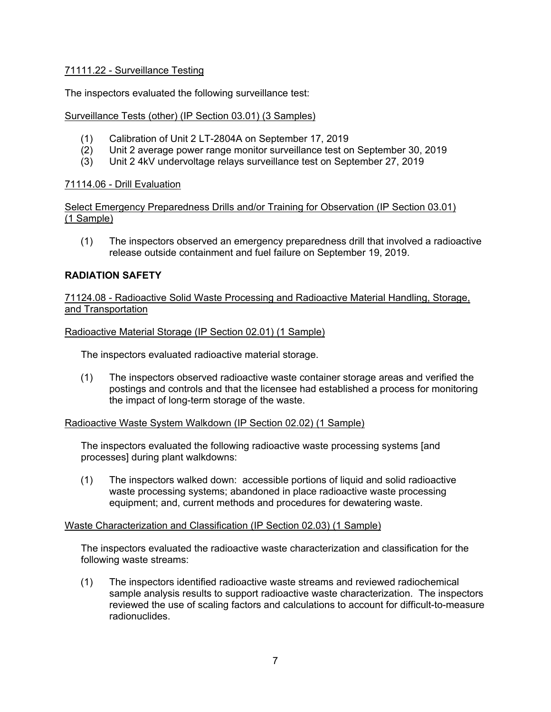# 71111.22 - Surveillance Testing

The inspectors evaluated the following surveillance test:

### Surveillance Tests (other) (IP Section 03.01) (3 Samples)

- (1) Calibration of Unit 2 LT-2804A on September 17, 2019
- (2) Unit 2 average power range monitor surveillance test on September 30, 2019
- (3) Unit 2 4kV undervoltage relays surveillance test on September 27, 2019

### 71114.06 - Drill Evaluation

Select Emergency Preparedness Drills and/or Training for Observation (IP Section 03.01) (1 Sample)

(1) The inspectors observed an emergency preparedness drill that involved a radioactive release outside containment and fuel failure on September 19, 2019.

### **RADIATION SAFETY**

71124.08 - Radioactive Solid Waste Processing and Radioactive Material Handling, Storage, and Transportation

#### Radioactive Material Storage (IP Section 02.01) (1 Sample)

The inspectors evaluated radioactive material storage.

(1) The inspectors observed radioactive waste container storage areas and verified the postings and controls and that the licensee had established a process for monitoring the impact of long-term storage of the waste.

#### Radioactive Waste System Walkdown (IP Section 02.02) (1 Sample)

The inspectors evaluated the following radioactive waste processing systems [and processes] during plant walkdowns:

(1) The inspectors walked down: accessible portions of liquid and solid radioactive waste processing systems; abandoned in place radioactive waste processing equipment; and, current methods and procedures for dewatering waste.

#### Waste Characterization and Classification (IP Section 02.03) (1 Sample)

The inspectors evaluated the radioactive waste characterization and classification for the following waste streams:

(1) The inspectors identified radioactive waste streams and reviewed radiochemical sample analysis results to support radioactive waste characterization. The inspectors reviewed the use of scaling factors and calculations to account for difficult-to-measure radionuclides.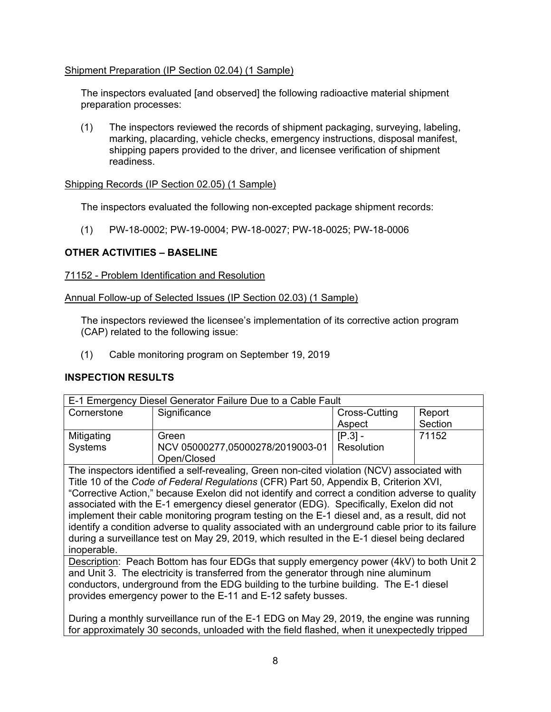# Shipment Preparation (IP Section 02.04) (1 Sample)

The inspectors evaluated [and observed] the following radioactive material shipment preparation processes:

(1) The inspectors reviewed the records of shipment packaging, surveying, labeling, marking, placarding, vehicle checks, emergency instructions, disposal manifest, shipping papers provided to the driver, and licensee verification of shipment readiness.

### Shipping Records (IP Section 02.05) (1 Sample)

The inspectors evaluated the following non-excepted package shipment records:

(1) PW-18-0002; PW-19-0004; PW-18-0027; PW-18-0025; PW-18-0006

# **OTHER ACTIVITIES – BASELINE**

### 71152 - Problem Identification and Resolution

### Annual Follow-up of Selected Issues (IP Section 02.03) (1 Sample)

The inspectors reviewed the licensee's implementation of its corrective action program (CAP) related to the following issue:

(1) Cable monitoring program on September 19, 2019

# **INSPECTION RESULTS**

| E-1 Emergency Diesel Generator Failure Due to a Cable Fault                                |                                  |               |         |  |  |  |
|--------------------------------------------------------------------------------------------|----------------------------------|---------------|---------|--|--|--|
| Cornerstone                                                                                | Significance                     | Cross-Cutting | Report  |  |  |  |
|                                                                                            |                                  | Aspect        | Section |  |  |  |
| Mitigating                                                                                 | Green                            | $[P.3] -$     | 71152   |  |  |  |
| Systems                                                                                    | NCV 05000277,05000278/2019003-01 | Resolution    |         |  |  |  |
|                                                                                            | Open/Closed                      |               |         |  |  |  |
| The inspectors identified a self-revealing Creep pop-cited violation (NCV) associated with |                                  |               |         |  |  |  |

The inspectors identified a self-revealing, Green non-cited violation (NCV) associated with Title 10 of the *Code of Federal Regulations* (CFR) Part 50, Appendix B, Criterion XVI, "Corrective Action," because Exelon did not identify and correct a condition adverse to quality associated with the E-1 emergency diesel generator (EDG). Specifically, Exelon did not implement their cable monitoring program testing on the E-1 diesel and, as a result, did not identify a condition adverse to quality associated with an underground cable prior to its failure during a surveillance test on May 29, 2019, which resulted in the E-1 diesel being declared inoperable.

Description: Peach Bottom has four EDGs that supply emergency power (4kV) to both Unit 2 and Unit 3. The electricity is transferred from the generator through nine aluminum conductors, underground from the EDG building to the turbine building. The E-1 diesel provides emergency power to the E-11 and E-12 safety busses.

During a monthly surveillance run of the E-1 EDG on May 29, 2019, the engine was running for approximately 30 seconds, unloaded with the field flashed, when it unexpectedly tripped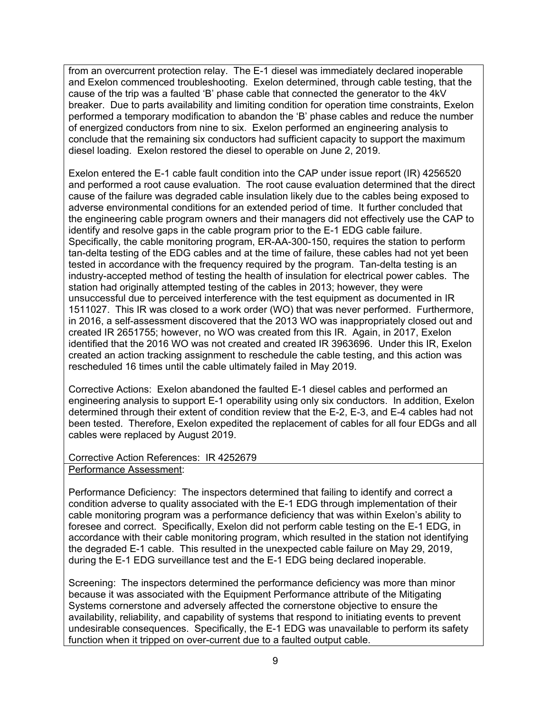from an overcurrent protection relay. The E-1 diesel was immediately declared inoperable and Exelon commenced troubleshooting. Exelon determined, through cable testing, that the cause of the trip was a faulted 'B' phase cable that connected the generator to the 4kV breaker. Due to parts availability and limiting condition for operation time constraints, Exelon performed a temporary modification to abandon the 'B' phase cables and reduce the number of energized conductors from nine to six. Exelon performed an engineering analysis to conclude that the remaining six conductors had sufficient capacity to support the maximum diesel loading. Exelon restored the diesel to operable on June 2, 2019.

Exelon entered the E-1 cable fault condition into the CAP under issue report (IR) 4256520 and performed a root cause evaluation. The root cause evaluation determined that the direct cause of the failure was degraded cable insulation likely due to the cables being exposed to adverse environmental conditions for an extended period of time. It further concluded that the engineering cable program owners and their managers did not effectively use the CAP to identify and resolve gaps in the cable program prior to the E-1 EDG cable failure. Specifically, the cable monitoring program, ER-AA-300-150, requires the station to perform tan-delta testing of the EDG cables and at the time of failure, these cables had not yet been tested in accordance with the frequency required by the program. Tan-delta testing is an industry-accepted method of testing the health of insulation for electrical power cables. The station had originally attempted testing of the cables in 2013; however, they were unsuccessful due to perceived interference with the test equipment as documented in IR 1511027. This IR was closed to a work order (WO) that was never performed. Furthermore, in 2016, a self-assessment discovered that the 2013 WO was inappropriately closed out and created IR 2651755; however, no WO was created from this IR. Again, in 2017, Exelon identified that the 2016 WO was not created and created IR 3963696. Under this IR, Exelon created an action tracking assignment to reschedule the cable testing, and this action was rescheduled 16 times until the cable ultimately failed in May 2019.

Corrective Actions: Exelon abandoned the faulted E-1 diesel cables and performed an engineering analysis to support E-1 operability using only six conductors. In addition, Exelon determined through their extent of condition review that the E-2, E-3, and E-4 cables had not been tested. Therefore, Exelon expedited the replacement of cables for all four EDGs and all cables were replaced by August 2019.

#### Corrective Action References: IR 4252679 Performance Assessment:

Performance Deficiency: The inspectors determined that failing to identify and correct a condition adverse to quality associated with the E-1 EDG through implementation of their cable monitoring program was a performance deficiency that was within Exelon's ability to foresee and correct. Specifically, Exelon did not perform cable testing on the E-1 EDG, in accordance with their cable monitoring program, which resulted in the station not identifying the degraded E-1 cable. This resulted in the unexpected cable failure on May 29, 2019, during the E-1 EDG surveillance test and the E-1 EDG being declared inoperable.

Screening: The inspectors determined the performance deficiency was more than minor because it was associated with the Equipment Performance attribute of the Mitigating Systems cornerstone and adversely affected the cornerstone objective to ensure the availability, reliability, and capability of systems that respond to initiating events to prevent undesirable consequences. Specifically, the E-1 EDG was unavailable to perform its safety function when it tripped on over-current due to a faulted output cable.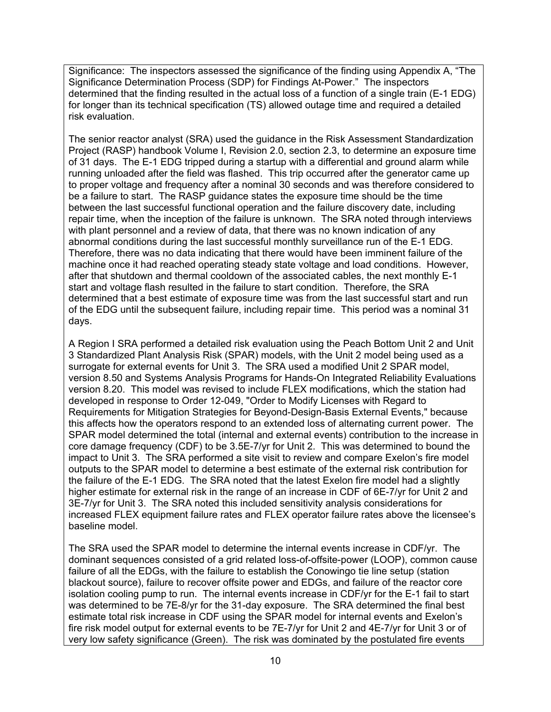Significance: The inspectors assessed the significance of the finding using Appendix A, "The Significance Determination Process (SDP) for Findings At-Power." The inspectors determined that the finding resulted in the actual loss of a function of a single train (E-1 EDG) for longer than its technical specification (TS) allowed outage time and required a detailed risk evaluation.

The senior reactor analyst (SRA) used the guidance in the Risk Assessment Standardization Project (RASP) handbook Volume I, Revision 2.0, section 2.3, to determine an exposure time of 31 days. The E-1 EDG tripped during a startup with a differential and ground alarm while running unloaded after the field was flashed. This trip occurred after the generator came up to proper voltage and frequency after a nominal 30 seconds and was therefore considered to be a failure to start. The RASP guidance states the exposure time should be the time between the last successful functional operation and the failure discovery date, including repair time, when the inception of the failure is unknown. The SRA noted through interviews with plant personnel and a review of data, that there was no known indication of any abnormal conditions during the last successful monthly surveillance run of the E-1 EDG. Therefore, there was no data indicating that there would have been imminent failure of the machine once it had reached operating steady state voltage and load conditions. However, after that shutdown and thermal cooldown of the associated cables, the next monthly E-1 start and voltage flash resulted in the failure to start condition. Therefore, the SRA determined that a best estimate of exposure time was from the last successful start and run of the EDG until the subsequent failure, including repair time. This period was a nominal 31 days.

A Region I SRA performed a detailed risk evaluation using the Peach Bottom Unit 2 and Unit 3 Standardized Plant Analysis Risk (SPAR) models, with the Unit 2 model being used as a surrogate for external events for Unit 3. The SRA used a modified Unit 2 SPAR model, version 8.50 and Systems Analysis Programs for Hands-On Integrated Reliability Evaluations version 8.20. This model was revised to include FLEX modifications, which the station had developed in response to Order 12-049, "Order to Modify Licenses with Regard to Requirements for Mitigation Strategies for Beyond-Design-Basis External Events," because this affects how the operators respond to an extended loss of alternating current power. The SPAR model determined the total (internal and external events) contribution to the increase in core damage frequency (CDF) to be 3.5E-7/yr for Unit 2. This was determined to bound the impact to Unit 3. The SRA performed a site visit to review and compare Exelon's fire model outputs to the SPAR model to determine a best estimate of the external risk contribution for the failure of the E-1 EDG. The SRA noted that the latest Exelon fire model had a slightly higher estimate for external risk in the range of an increase in CDF of 6E-7/yr for Unit 2 and 3E-7/yr for Unit 3. The SRA noted this included sensitivity analysis considerations for increased FLEX equipment failure rates and FLEX operator failure rates above the licensee's baseline model.

The SRA used the SPAR model to determine the internal events increase in CDF/yr. The dominant sequences consisted of a grid related loss-of-offsite-power (LOOP), common cause failure of all the EDGs, with the failure to establish the Conowingo tie line setup (station blackout source), failure to recover offsite power and EDGs, and failure of the reactor core isolation cooling pump to run. The internal events increase in CDF/yr for the E-1 fail to start was determined to be 7E-8/yr for the 31-day exposure. The SRA determined the final best estimate total risk increase in CDF using the SPAR model for internal events and Exelon's fire risk model output for external events to be 7E-7/yr for Unit 2 and 4E-7/yr for Unit 3 or of very low safety significance (Green). The risk was dominated by the postulated fire events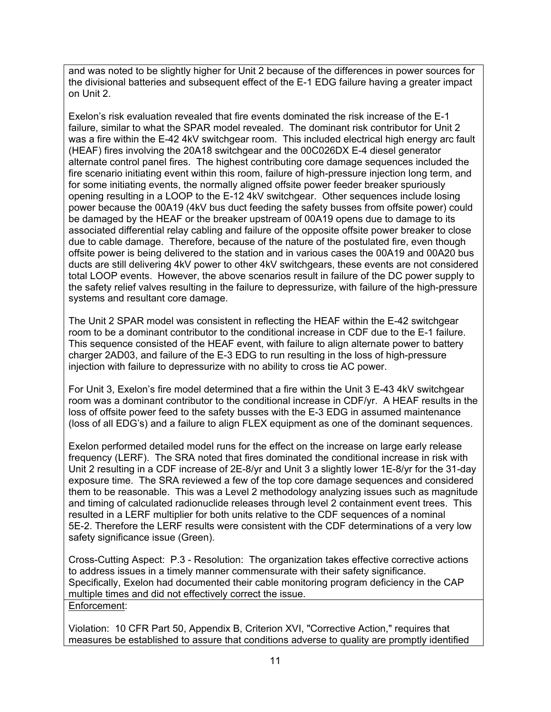and was noted to be slightly higher for Unit 2 because of the differences in power sources for the divisional batteries and subsequent effect of the E-1 EDG failure having a greater impact on Unit 2.

Exelon's risk evaluation revealed that fire events dominated the risk increase of the E-1 failure, similar to what the SPAR model revealed. The dominant risk contributor for Unit 2 was a fire within the E-42 4kV switchgear room. This included electrical high energy arc fault (HEAF) fires involving the 20A18 switchgear and the 00C026DX E-4 diesel generator alternate control panel fires. The highest contributing core damage sequences included the fire scenario initiating event within this room, failure of high-pressure injection long term, and for some initiating events, the normally aligned offsite power feeder breaker spuriously opening resulting in a LOOP to the E-12 4kV switchgear. Other sequences include losing power because the 00A19 (4kV bus duct feeding the safety busses from offsite power) could be damaged by the HEAF or the breaker upstream of 00A19 opens due to damage to its associated differential relay cabling and failure of the opposite offsite power breaker to close due to cable damage. Therefore, because of the nature of the postulated fire, even though offsite power is being delivered to the station and in various cases the 00A19 and 00A20 bus ducts are still delivering 4kV power to other 4kV switchgears, these events are not considered total LOOP events. However, the above scenarios result in failure of the DC power supply to the safety relief valves resulting in the failure to depressurize, with failure of the high-pressure systems and resultant core damage.

The Unit 2 SPAR model was consistent in reflecting the HEAF within the E-42 switchgear room to be a dominant contributor to the conditional increase in CDF due to the E-1 failure. This sequence consisted of the HEAF event, with failure to align alternate power to battery charger 2AD03, and failure of the E-3 EDG to run resulting in the loss of high-pressure injection with failure to depressurize with no ability to cross tie AC power.

For Unit 3, Exelon's fire model determined that a fire within the Unit 3 E-43 4kV switchgear room was a dominant contributor to the conditional increase in CDF/yr. A HEAF results in the loss of offsite power feed to the safety busses with the E-3 EDG in assumed maintenance (loss of all EDG's) and a failure to align FLEX equipment as one of the dominant sequences.

Exelon performed detailed model runs for the effect on the increase on large early release frequency (LERF). The SRA noted that fires dominated the conditional increase in risk with Unit 2 resulting in a CDF increase of 2E-8/yr and Unit 3 a slightly lower 1E-8/yr for the 31-day exposure time. The SRA reviewed a few of the top core damage sequences and considered them to be reasonable. This was a Level 2 methodology analyzing issues such as magnitude and timing of calculated radionuclide releases through level 2 containment event trees. This resulted in a LERF multiplier for both units relative to the CDF sequences of a nominal 5E-2. Therefore the LERF results were consistent with the CDF determinations of a very low safety significance issue (Green).

Cross-Cutting Aspect: P.3 - Resolution: The organization takes effective corrective actions to address issues in a timely manner commensurate with their safety significance. Specifically, Exelon had documented their cable monitoring program deficiency in the CAP multiple times and did not effectively correct the issue. Enforcement:

Violation: 10 CFR Part 50, Appendix B, Criterion XVI, "Corrective Action," requires that measures be established to assure that conditions adverse to quality are promptly identified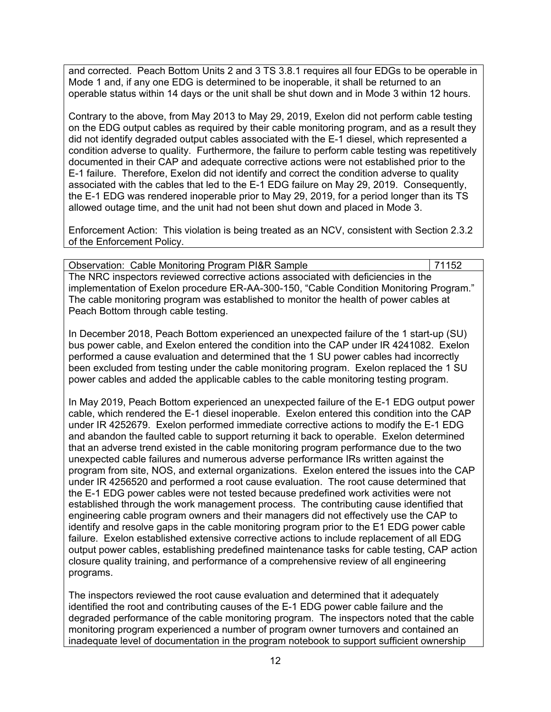and corrected. Peach Bottom Units 2 and 3 TS 3.8.1 requires all four EDGs to be operable in Mode 1 and, if any one EDG is determined to be inoperable, it shall be returned to an operable status within 14 days or the unit shall be shut down and in Mode 3 within 12 hours.

Contrary to the above, from May 2013 to May 29, 2019, Exelon did not perform cable testing on the EDG output cables as required by their cable monitoring program, and as a result they did not identify degraded output cables associated with the E-1 diesel, which represented a condition adverse to quality. Furthermore, the failure to perform cable testing was repetitively documented in their CAP and adequate corrective actions were not established prior to the E-1 failure. Therefore, Exelon did not identify and correct the condition adverse to quality associated with the cables that led to the E-1 EDG failure on May 29, 2019. Consequently, the E-1 EDG was rendered inoperable prior to May 29, 2019, for a period longer than its TS allowed outage time, and the unit had not been shut down and placed in Mode 3.

Enforcement Action: This violation is being treated as an NCV, consistent with Section 2.3.2 of the Enforcement Policy.

| <b>Observation: Cable Monitoring Program PI&amp;R Sample</b>                            | 71152 |
|-----------------------------------------------------------------------------------------|-------|
| The NRC inspectors reviewed corrective actions associated with deficiencies in the      |       |
| implementation of Exelon procedure ER-AA-300-150, "Cable Condition Monitoring Program." |       |
| The cable monitoring program was established to monitor the health of power cables at   |       |
| Peach Bottom through cable testing.                                                     |       |

In December 2018, Peach Bottom experienced an unexpected failure of the 1 start-up (SU) bus power cable, and Exelon entered the condition into the CAP under IR 4241082. Exelon performed a cause evaluation and determined that the 1 SU power cables had incorrectly been excluded from testing under the cable monitoring program. Exelon replaced the 1 SU power cables and added the applicable cables to the cable monitoring testing program.

In May 2019, Peach Bottom experienced an unexpected failure of the E-1 EDG output power cable, which rendered the E-1 diesel inoperable. Exelon entered this condition into the CAP under IR 4252679. Exelon performed immediate corrective actions to modify the E-1 EDG and abandon the faulted cable to support returning it back to operable. Exelon determined that an adverse trend existed in the cable monitoring program performance due to the two unexpected cable failures and numerous adverse performance IRs written against the program from site, NOS, and external organizations. Exelon entered the issues into the CAP under IR 4256520 and performed a root cause evaluation. The root cause determined that the E-1 EDG power cables were not tested because predefined work activities were not established through the work management process. The contributing cause identified that engineering cable program owners and their managers did not effectively use the CAP to identify and resolve gaps in the cable monitoring program prior to the E1 EDG power cable failure. Exelon established extensive corrective actions to include replacement of all EDG output power cables, establishing predefined maintenance tasks for cable testing, CAP action closure quality training, and performance of a comprehensive review of all engineering programs.

The inspectors reviewed the root cause evaluation and determined that it adequately identified the root and contributing causes of the E-1 EDG power cable failure and the degraded performance of the cable monitoring program. The inspectors noted that the cable monitoring program experienced a number of program owner turnovers and contained an inadequate level of documentation in the program notebook to support sufficient ownership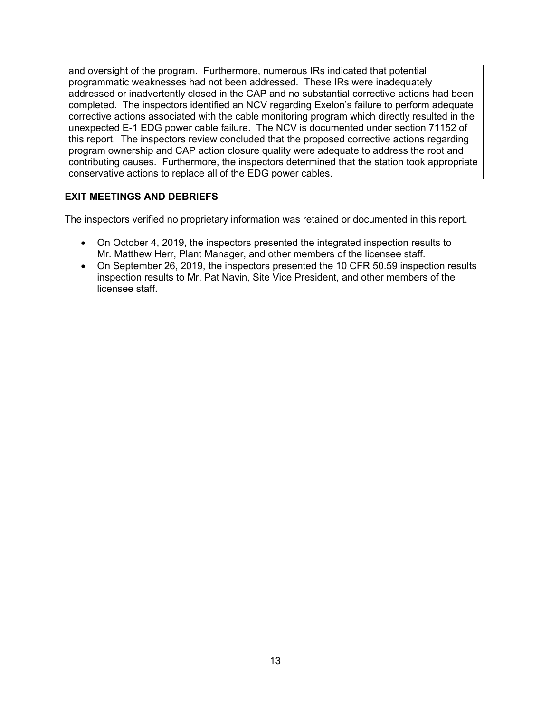and oversight of the program. Furthermore, numerous IRs indicated that potential programmatic weaknesses had not been addressed. These IRs were inadequately addressed or inadvertently closed in the CAP and no substantial corrective actions had been completed. The inspectors identified an NCV regarding Exelon's failure to perform adequate corrective actions associated with the cable monitoring program which directly resulted in the unexpected E-1 EDG power cable failure. The NCV is documented under section 71152 of this report. The inspectors review concluded that the proposed corrective actions regarding program ownership and CAP action closure quality were adequate to address the root and contributing causes. Furthermore, the inspectors determined that the station took appropriate conservative actions to replace all of the EDG power cables.

# **EXIT MEETINGS AND DEBRIEFS**

The inspectors verified no proprietary information was retained or documented in this report.

- On October 4, 2019, the inspectors presented the integrated inspection results to Mr. Matthew Herr, Plant Manager, and other members of the licensee staff.
- On September 26, 2019, the inspectors presented the 10 CFR 50.59 inspection results inspection results to Mr. Pat Navin, Site Vice President, and other members of the licensee staff.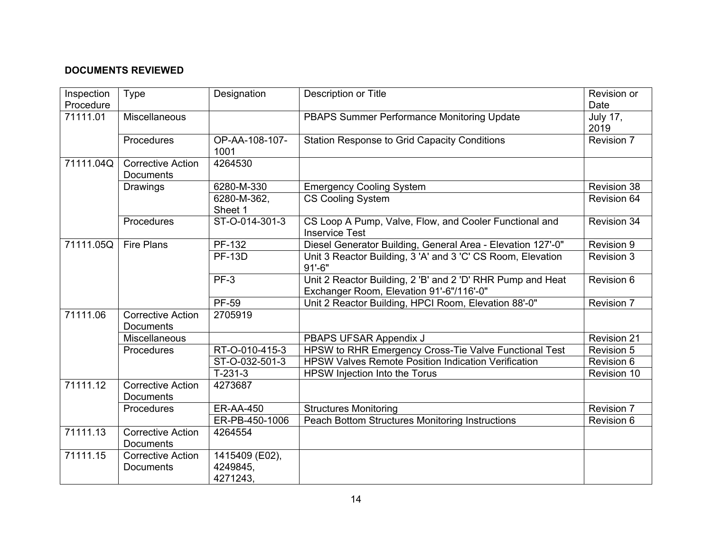# **DOCUMENTS REVIEWED**

| Inspection<br>Procedure | <b>Type</b>                                  | Designation                            | <b>Description or Title</b>                                                                            | Revision or<br>Date     |
|-------------------------|----------------------------------------------|----------------------------------------|--------------------------------------------------------------------------------------------------------|-------------------------|
| 71111.01                | Miscellaneous                                |                                        | PBAPS Summer Performance Monitoring Update                                                             | <b>July 17,</b><br>2019 |
|                         | Procedures                                   | OP-AA-108-107-<br>1001                 | <b>Station Response to Grid Capacity Conditions</b>                                                    | Revision 7              |
| 71111.04Q               | <b>Corrective Action</b><br><b>Documents</b> | 4264530                                |                                                                                                        |                         |
|                         | Drawings                                     | 6280-M-330                             | <b>Emergency Cooling System</b>                                                                        | Revision 38             |
|                         |                                              | 6280-M-362,<br>Sheet 1                 | <b>CS Cooling System</b>                                                                               | Revision 64             |
|                         | Procedures                                   | ST-O-014-301-3                         | CS Loop A Pump, Valve, Flow, and Cooler Functional and<br><b>Inservice Test</b>                        | <b>Revision 34</b>      |
| 71111.05Q               | <b>Fire Plans</b>                            | PF-132                                 | Diesel Generator Building, General Area - Elevation 127'-0"                                            | Revision 9              |
|                         |                                              | <b>PF-13D</b>                          | Unit 3 Reactor Building, 3 'A' and 3 'C' CS Room, Elevation<br>$91' - 6"$                              | <b>Revision 3</b>       |
|                         |                                              | $PF-3$                                 | Unit 2 Reactor Building, 2 'B' and 2 'D' RHR Pump and Heat<br>Exchanger Room, Elevation 91'-6"/116'-0" | Revision 6              |
|                         |                                              | <b>PF-59</b>                           | Unit 2 Reactor Building, HPCI Room, Elevation 88'-0"                                                   | <b>Revision 7</b>       |
| 71111.06                | <b>Corrective Action</b><br><b>Documents</b> | 2705919                                |                                                                                                        |                         |
|                         | Miscellaneous                                |                                        | PBAPS UFSAR Appendix J                                                                                 | <b>Revision 21</b>      |
|                         | Procedures                                   | RT-O-010-415-3                         | HPSW to RHR Emergency Cross-Tie Valve Functional Test                                                  | <b>Revision 5</b>       |
|                         |                                              | ST-O-032-501-3                         | <b>HPSW Valves Remote Position Indication Verification</b>                                             | Revision 6              |
|                         |                                              | $T-231-3$                              | HPSW Injection Into the Torus                                                                          | Revision 10             |
| 71111.12                | <b>Corrective Action</b><br><b>Documents</b> | 4273687                                |                                                                                                        |                         |
|                         | Procedures                                   | <b>ER-AA-450</b>                       | <b>Structures Monitoring</b>                                                                           | <b>Revision 7</b>       |
|                         |                                              | ER-PB-450-1006                         | <b>Peach Bottom Structures Monitoring Instructions</b>                                                 | <b>Revision 6</b>       |
| 71111.13                | <b>Corrective Action</b><br><b>Documents</b> | 4264554                                |                                                                                                        |                         |
| 71111.15                | <b>Corrective Action</b><br><b>Documents</b> | 1415409 (E02),<br>4249845,<br>4271243, |                                                                                                        |                         |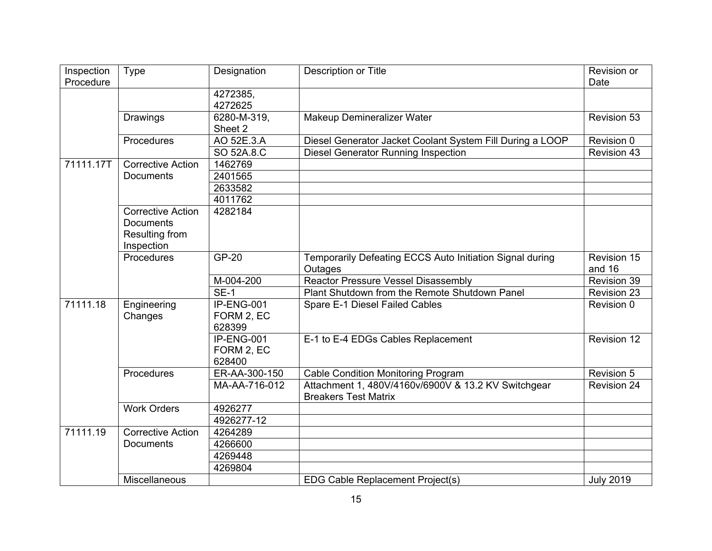| Inspection | Type                     | Designation   | Description or Title                                      | Revision or        |
|------------|--------------------------|---------------|-----------------------------------------------------------|--------------------|
| Procedure  |                          |               |                                                           | Date               |
|            |                          | 4272385,      |                                                           |                    |
|            |                          | 4272625       |                                                           |                    |
|            | <b>Drawings</b>          | 6280-M-319,   | Makeup Demineralizer Water                                | Revision 53        |
|            |                          | Sheet 2       |                                                           |                    |
|            | Procedures               | AO 52E.3.A    | Diesel Generator Jacket Coolant System Fill During a LOOP | Revision 0         |
|            |                          | SO 52A.8.C    | <b>Diesel Generator Running Inspection</b>                | <b>Revision 43</b> |
| 71111.17T  | <b>Corrective Action</b> | 1462769       |                                                           |                    |
|            | <b>Documents</b>         | 2401565       |                                                           |                    |
|            |                          | 2633582       |                                                           |                    |
|            |                          | 4011762       |                                                           |                    |
|            | <b>Corrective Action</b> | 4282184       |                                                           |                    |
|            | <b>Documents</b>         |               |                                                           |                    |
|            | Resulting from           |               |                                                           |                    |
|            | Inspection               |               |                                                           |                    |
|            | Procedures               | <b>GP-20</b>  | Temporarily Defeating ECCS Auto Initiation Signal during  | Revision 15        |
|            |                          |               | Outages                                                   | and 16             |
|            |                          | M-004-200     | <b>Reactor Pressure Vessel Disassembly</b>                | Revision 39        |
|            |                          | <b>SE-1</b>   | Plant Shutdown from the Remote Shutdown Panel             | <b>Revision 23</b> |
| 71111.18   | Engineering              | IP-ENG-001    | Spare E-1 Diesel Failed Cables                            | Revision 0         |
|            | Changes                  | FORM 2, EC    |                                                           |                    |
|            |                          | 628399        |                                                           |                    |
|            |                          | $IP-ENG-001$  | E-1 to E-4 EDGs Cables Replacement                        | Revision 12        |
|            |                          | FORM 2, EC    |                                                           |                    |
|            |                          | 628400        |                                                           |                    |
|            | Procedures               | ER-AA-300-150 | <b>Cable Condition Monitoring Program</b>                 | Revision 5         |
|            |                          | MA-AA-716-012 | Attachment 1, 480V/4160v/6900V & 13.2 KV Switchgear       | <b>Revision 24</b> |
|            |                          |               | <b>Breakers Test Matrix</b>                               |                    |
|            | <b>Work Orders</b>       | 4926277       |                                                           |                    |
|            |                          | 4926277-12    |                                                           |                    |
| 71111.19   | <b>Corrective Action</b> | 4264289       |                                                           |                    |
|            | <b>Documents</b>         | 4266600       |                                                           |                    |
|            |                          | 4269448       |                                                           |                    |
|            |                          | 4269804       |                                                           |                    |
|            | Miscellaneous            |               | EDG Cable Replacement Project(s)                          | <b>July 2019</b>   |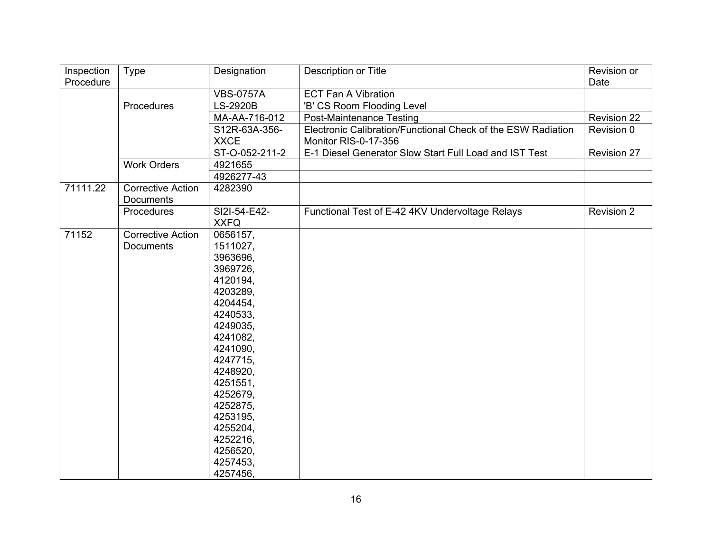| Inspection | <b>Type</b>              | Designation      | Description or Title                                         | Revision or        |
|------------|--------------------------|------------------|--------------------------------------------------------------|--------------------|
| Procedure  |                          |                  |                                                              | Date               |
|            |                          | <b>VBS-0757A</b> | <b>ECT Fan A Vibration</b>                                   |                    |
|            | Procedures               | LS-2920B         | 'B' CS Room Flooding Level                                   |                    |
|            |                          | MA-AA-716-012    | <b>Post-Maintenance Testing</b>                              | <b>Revision 22</b> |
|            |                          | S12R-63A-356-    | Electronic Calibration/Functional Check of the ESW Radiation | Revision 0         |
|            |                          | <b>XXCE</b>      | Monitor RIS-0-17-356                                         |                    |
|            |                          | ST-O-052-211-2   | E-1 Diesel Generator Slow Start Full Load and IST Test       | Revision 27        |
|            | <b>Work Orders</b>       | 4921655          |                                                              |                    |
|            |                          | 4926277-43       |                                                              |                    |
| 71111.22   | <b>Corrective Action</b> | 4282390          |                                                              |                    |
|            | Documents                |                  |                                                              |                    |
|            | Procedures               | SI2I-54-E42-     | Functional Test of E-42 4KV Undervoltage Relays              | <b>Revision 2</b>  |
|            |                          | <b>XXFQ</b>      |                                                              |                    |
| 71152      | <b>Corrective Action</b> | 0656157,         |                                                              |                    |
|            | <b>Documents</b>         | 1511027,         |                                                              |                    |
|            |                          | 3963696,         |                                                              |                    |
|            |                          | 3969726,         |                                                              |                    |
|            |                          | 4120194,         |                                                              |                    |
|            |                          | 4203289,         |                                                              |                    |
|            |                          | 4204454,         |                                                              |                    |
|            |                          | 4240533,         |                                                              |                    |
|            |                          | 4249035,         |                                                              |                    |
|            |                          | 4241082,         |                                                              |                    |
|            |                          | 4241090,         |                                                              |                    |
|            |                          | 4247715,         |                                                              |                    |
|            |                          | 4248920,         |                                                              |                    |
|            |                          | 4251551,         |                                                              |                    |
|            |                          | 4252679,         |                                                              |                    |
|            |                          | 4252875,         |                                                              |                    |
|            |                          | 4253195,         |                                                              |                    |
|            |                          | 4255204,         |                                                              |                    |
|            |                          | 4252216,         |                                                              |                    |
|            |                          | 4256520,         |                                                              |                    |
|            |                          | 4257453,         |                                                              |                    |
|            |                          | 4257456,         |                                                              |                    |